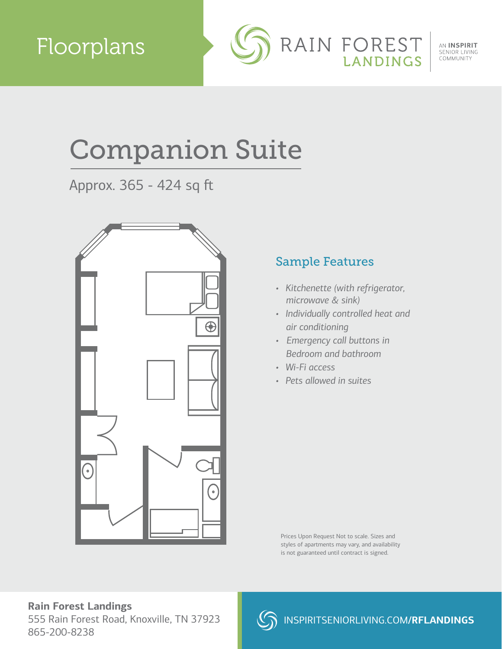

AN INSPIRIT SENIOR LIVING COMMUNITY

# Companion Suite

Approx. 365 - 424 sq ft



### Sample Features

- *Kitchenette (with refrigerator, microwave & sink)*
- *Individually controlled heat and air conditioning*
- *Emergency call buttons in Bedroom and bathroom*
- *Wi-Fi access*
- *Pets allowed in suites*

Prices Upon Request Not to scale. Sizes and styles of apartments may vary, and availability is not guaranteed until contract is signed.

#### **Rain Forest Landings**

555 Rain Forest Road, Knoxville, TN 37923 865-200-8238

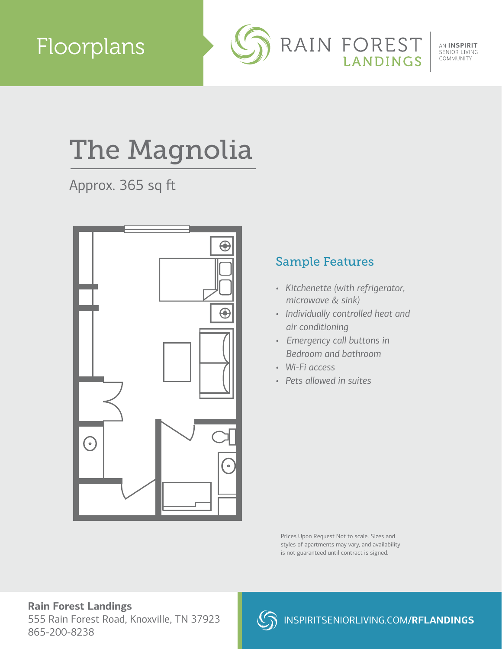

AN INSPIRIT SENIOR LIVING COMMUNITY

# The Magnolia

Approx. 365 sq ft



### Sample Features

- *Kitchenette (with refrigerator, microwave & sink)*
- *Individually controlled heat and air conditioning*
- *Emergency call buttons in Bedroom and bathroom*
- *Wi-Fi access*
- *Pets allowed in suites*

Prices Upon Request Not to scale. Sizes and styles of apartments may vary, and availability is not guaranteed until contract is signed.

#### **Rain Forest Landings** 555 Rain Forest Road, Knoxville, TN 37923 865-200-8238

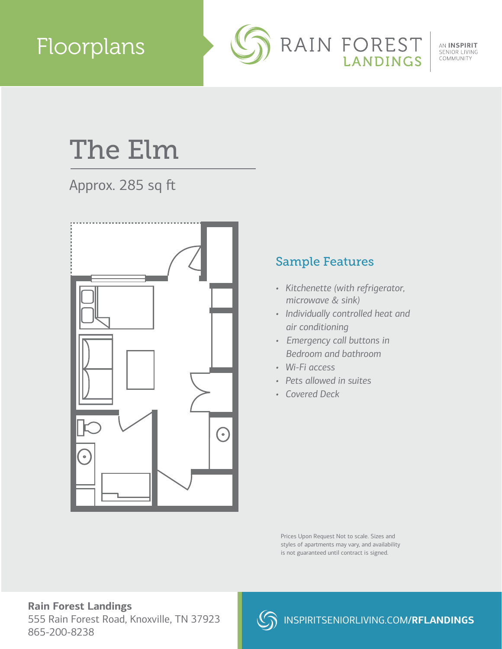### Floorplans



AN INSPIRIT SENIOR LIVING COMMUNITY

## The Elm

### Approx. 285 sq ft



### Sample Features

- *Kitchenette (with refrigerator, microwave & sink)*
- *Individually controlled heat and air conditioning*
- *Emergency call buttons in Bedroom and bathroom*
- *Wi-Fi access*
- *Pets allowed in suites*
- *Covered Deck*

Prices Upon Request Not to scale. Sizes and styles of apartments may vary, and availability is not guaranteed until contract is signed.

#### **Rain Forest Landings** 555 Rain Forest Road, Knoxville, TN 37923 865-200-8238